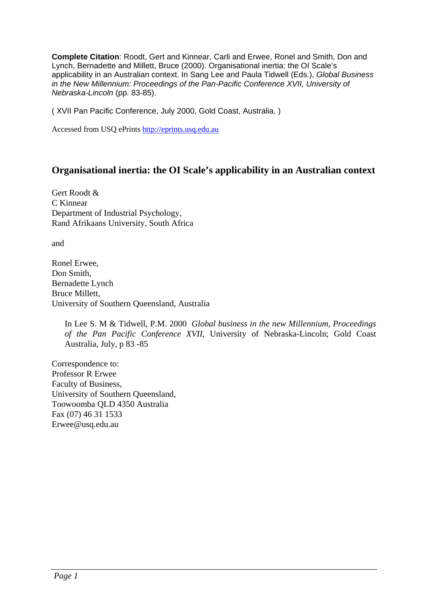**Complete Citation**: Roodt, Gert and Kinnear, Carli and Erwee, Ronel and Smith, Don and Lynch, Bernadette and Millett, Bruce (2000). Organisational inertia: the OI Scale's applicability in an Australian context. In Sang Lee and Paula Tidwell (Eds.), *Global Business in the New Millennium: Proceedings of the Pan-Pacific Conference XVII, University of Nebraska-Lincoln* (pp. 83-85).

( XVII Pan Pacific Conference, July 2000, Gold Coast, Australia. )

Accessed from USQ ePrints http://eprints.usq.edu.au

## **Organisational inertia: the OI Scale's applicability in an Australian context**

Gert Roodt & C Kinnear Department of Industrial Psychology, Rand Afrikaans University, South Africa

and

Ronel Erwee, Don Smith, Bernadette Lynch Bruce Millett, University of Southern Queensland, Australia

In Lee S. M & Tidwell, P.M. 2000 *Global business in the new Millennium, Proceedings of the Pan Pacific Conference XVII*, University of Nebraska-Lincoln; Gold Coast Australia, July, p 83 -85

Correspondence to: Professor R Erwee Faculty of Business, University of Southern Queensland, Toowoomba QLD 4350 Australia Fax (07) 46 31 1533 Erwee@usq.edu.au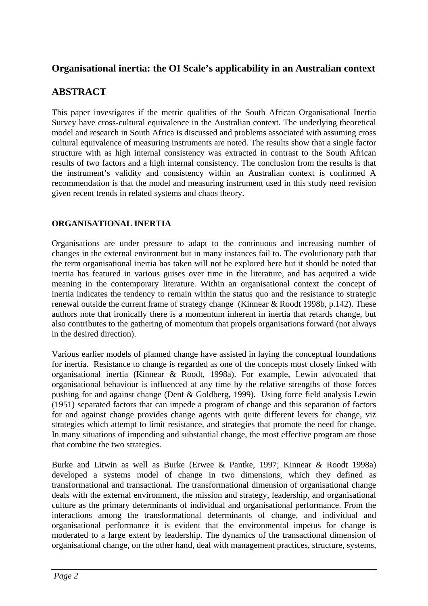## **Organisational inertia: the OI Scale's applicability in an Australian context**

## **ABSTRACT**

This paper investigates if the metric qualities of the South African Organisational Inertia Survey have cross-cultural equivalence in the Australian context. The underlying theoretical model and research in South Africa is discussed and problems associated with assuming cross cultural equivalence of measuring instruments are noted. The results show that a single factor structure with as high internal consistency was extracted in contrast to the South African results of two factors and a high internal consistency. The conclusion from the results is that the instrument's validity and consistency within an Australian context is confirmed A recommendation is that the model and measuring instrument used in this study need revision given recent trends in related systems and chaos theory.

## **ORGANISATIONAL INERTIA**

Organisations are under pressure to adapt to the continuous and increasing number of changes in the external environment but in many instances fail to. The evolutionary path that the term organisational inertia has taken will not be explored here but it should be noted that inertia has featured in various guises over time in the literature, and has acquired a wide meaning in the contemporary literature. Within an organisational context the concept of inertia indicates the tendency to remain within the status quo and the resistance to strategic renewal outside the current frame of strategy change (Kinnear & Roodt 1998b, p.142). These authors note that ironically there is a momentum inherent in inertia that retards change, but also contributes to the gathering of momentum that propels organisations forward (not always in the desired direction).

Various earlier models of planned change have assisted in laying the conceptual foundations for inertia. Resistance to change is regarded as one of the concepts most closely linked with organisational inertia (Kinnear & Roodt, 1998a). For example, Lewin advocated that organisational behaviour is influenced at any time by the relative strengths of those forces pushing for and against change (Dent & Goldberg, 1999). Using force field analysis Lewin (1951) separated factors that can impede a program of change and this separation of factors for and against change provides change agents with quite different levers for change, viz strategies which attempt to limit resistance, and strategies that promote the need for change. In many situations of impending and substantial change, the most effective program are those that combine the two strategies.

Burke and Litwin as well as Burke (Erwee & Pantke, 1997; Kinnear & Roodt 1998a) developed a systems model of change in two dimensions, which they defined as transformational and transactional. The transformational dimension of organisational change deals with the external environment, the mission and strategy, leadership, and organisational culture as the primary determinants of individual and organisational performance. From the interactions among the transformational determinants of change, and individual and organisational performance it is evident that the environmental impetus for change is moderated to a large extent by leadership. The dynamics of the transactional dimension of organisational change, on the other hand, deal with management practices, structure, systems,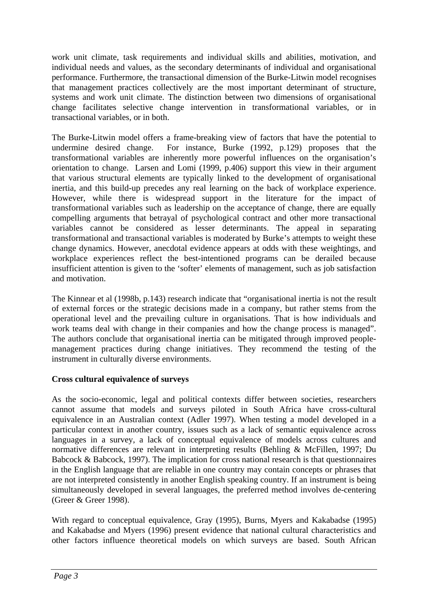work unit climate, task requirements and individual skills and abilities, motivation, and individual needs and values, as the secondary determinants of individual and organisational performance. Furthermore, the transactional dimension of the Burke-Litwin model recognises that management practices collectively are the most important determinant of structure, systems and work unit climate. The distinction between two dimensions of organisational change facilitates selective change intervention in transformational variables, or in transactional variables, or in both.

The Burke-Litwin model offers a frame-breaking view of factors that have the potential to undermine desired change. For instance, Burke (1992, p.129) proposes that the transformational variables are inherently more powerful influences on the organisation's orientation to change. Larsen and Lomi (1999, p.406) support this view in their argument that various structural elements are typically linked to the development of organisational inertia, and this build-up precedes any real learning on the back of workplace experience. However, while there is widespread support in the literature for the impact of transformational variables such as leadership on the acceptance of change, there are equally compelling arguments that betrayal of psychological contract and other more transactional variables cannot be considered as lesser determinants. The appeal in separating transformational and transactional variables is moderated by Burke's attempts to weight these change dynamics. However, anecdotal evidence appears at odds with these weightings, and workplace experiences reflect the best-intentioned programs can be derailed because insufficient attention is given to the 'softer' elements of management, such as job satisfaction and motivation.

The Kinnear et al (1998b, p.143) research indicate that "organisational inertia is not the result of external forces or the strategic decisions made in a company, but rather stems from the operational level and the prevailing culture in organisations. That is how individuals and work teams deal with change in their companies and how the change process is managed". The authors conclude that organisational inertia can be mitigated through improved peoplemanagement practices during change initiatives. They recommend the testing of the instrument in culturally diverse environments.

## **Cross cultural equivalence of surveys**

As the socio-economic, legal and political contexts differ between societies, researchers cannot assume that models and surveys piloted in South Africa have cross-cultural equivalence in an Australian context (Adler 1997). When testing a model developed in a particular context in another country, issues such as a lack of semantic equivalence across languages in a survey, a lack of conceptual equivalence of models across cultures and normative differences are relevant in interpreting results (Behling & McFillen, 1997; Du Babcock & Babcock, 1997). The implication for cross national research is that questionnaires in the English language that are reliable in one country may contain concepts or phrases that are not interpreted consistently in another English speaking country. If an instrument is being simultaneously developed in several languages, the preferred method involves de-centering (Greer & Greer 1998).

With regard to conceptual equivalence, Gray (1995), Burns, Myers and Kakabadse (1995) and Kakabadse and Myers (1996) present evidence that national cultural characteristics and other factors influence theoretical models on which surveys are based. South African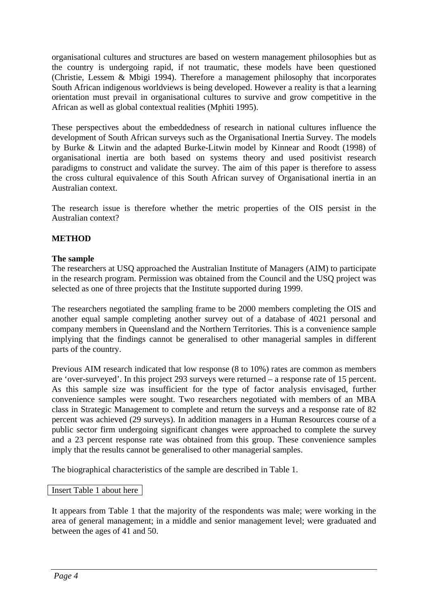organisational cultures and structures are based on western management philosophies but as the country is undergoing rapid, if not traumatic, these models have been questioned (Christie, Lessem & Mbigi 1994). Therefore a management philosophy that incorporates South African indigenous worldviews is being developed. However a reality is that a learning orientation must prevail in organisational cultures to survive and grow competitive in the African as well as global contextual realities (Mphiti 1995).

These perspectives about the embeddedness of research in national cultures influence the development of South African surveys such as the Organisational Inertia Survey. The models by Burke & Litwin and the adapted Burke-Litwin model by Kinnear and Roodt (1998) of organisational inertia are both based on systems theory and used positivist research paradigms to construct and validate the survey. The aim of this paper is therefore to assess the cross cultural equivalence of this South African survey of Organisational inertia in an Australian context.

The research issue is therefore whether the metric properties of the OIS persist in the Australian context?

## **METHOD**

### **The sample**

The researchers at USQ approached the Australian Institute of Managers (AIM) to participate in the research program. Permission was obtained from the Council and the USQ project was selected as one of three projects that the Institute supported during 1999.

The researchers negotiated the sampling frame to be 2000 members completing the OIS and another equal sample completing another survey out of a database of 4021 personal and company members in Queensland and the Northern Territories. This is a convenience sample implying that the findings cannot be generalised to other managerial samples in different parts of the country.

Previous AIM research indicated that low response (8 to 10%) rates are common as members are 'over-surveyed'. In this project 293 surveys were returned – a response rate of 15 percent. As this sample size was insufficient for the type of factor analysis envisaged, further convenience samples were sought. Two researchers negotiated with members of an MBA class in Strategic Management to complete and return the surveys and a response rate of 82 percent was achieved (29 surveys). In addition managers in a Human Resources course of a public sector firm undergoing significant changes were approached to complete the survey and a 23 percent response rate was obtained from this group. These convenience samples imply that the results cannot be generalised to other managerial samples.

The biographical characteristics of the sample are described in Table 1.

### Insert Table 1 about here

It appears from Table 1 that the majority of the respondents was male; were working in the area of general management; in a middle and senior management level; were graduated and between the ages of 41 and 50.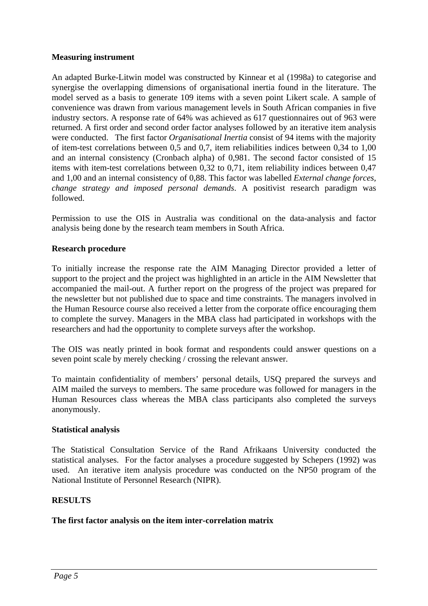## **Measuring instrument**

An adapted Burke-Litwin model was constructed by Kinnear et al (1998a) to categorise and synergise the overlapping dimensions of organisational inertia found in the literature. The model served as a basis to generate 109 items with a seven point Likert scale. A sample of convenience was drawn from various management levels in South African companies in five industry sectors. A response rate of 64% was achieved as 617 questionnaires out of 963 were returned. A first order and second order factor analyses followed by an iterative item analysis were conducted. The first factor *Organisational Inertia* consist of 94 items with the majority of item-test correlations between 0,5 and 0,7, item reliabilities indices between 0,34 to 1,00 and an internal consistency (Cronbach alpha) of 0,981. The second factor consisted of 15 items with item-test correlations between 0,32 to 0,71, item reliability indices between 0,47 and 1,00 and an internal consistency of 0,88. This factor was labelled *External change forces, change strategy and imposed personal demands*. A positivist research paradigm was followed.

Permission to use the OIS in Australia was conditional on the data-analysis and factor analysis being done by the research team members in South Africa.

## **Research procedure**

To initially increase the response rate the AIM Managing Director provided a letter of support to the project and the project was highlighted in an article in the AIM Newsletter that accompanied the mail-out. A further report on the progress of the project was prepared for the newsletter but not published due to space and time constraints. The managers involved in the Human Resource course also received a letter from the corporate office encouraging them to complete the survey. Managers in the MBA class had participated in workshops with the researchers and had the opportunity to complete surveys after the workshop.

The OIS was neatly printed in book format and respondents could answer questions on a seven point scale by merely checking / crossing the relevant answer.

To maintain confidentiality of members' personal details, USQ prepared the surveys and AIM mailed the surveys to members. The same procedure was followed for managers in the Human Resources class whereas the MBA class participants also completed the surveys anonymously.

### **Statistical analysis**

The Statistical Consultation Service of the Rand Afrikaans University conducted the statistical analyses. For the factor analyses a procedure suggested by Schepers (1992) was used. An iterative item analysis procedure was conducted on the NP50 program of the National Institute of Personnel Research (NIPR).

### **RESULTS**

### **The first factor analysis on the item inter-correlation matrix**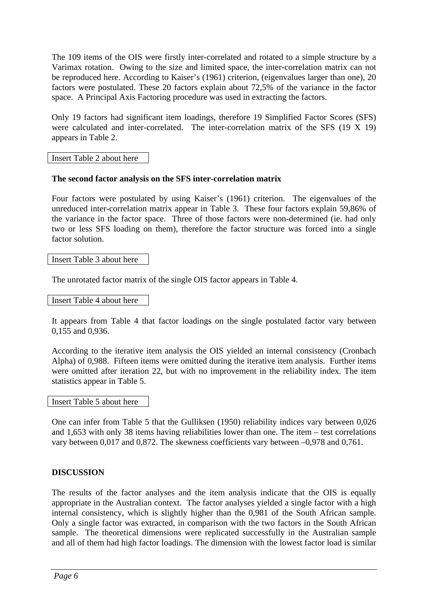The 109 items of the OIS were firstly inter-correlated and rotated to a simple structure by a Varimax rotation. Owing to the size and limited space, the inter-correlation matrix can not be reproduced here. According to Kaiser's (1961) criterion, (eigenvalues larger than one), 20 factors were postulated. These 20 factors explain about 72,5% of the variance in the factor space. A Principal Axis Factoring procedure was used in extracting the factors.

Only 19 factors had significant item loadings, therefore 19 Simplified Factor Scores (SFS) were calculated and inter-correlated. The inter-correlation matrix of the SFS (19 X 19) appears in Table 2.

Insert Table 2 about here

## **The second factor analysis on the SFS inter-correlation matrix**

Four factors were postulated by using Kaiser's (1961) criterion. The eigenvalues of the unreduced inter-correlation matrix appear in Table 3. These four factors explain 59,86% of the variance in the factor space. Three of those factors were non-determined (ie. had only two or less SFS loading on them), therefore the factor structure was forced into a single factor solution.

### Insert Table 3 about here

The unrotated factor matrix of the single OIS factor appears in Table 4.

Insert Table 4 about here

It appears from Table 4 that factor loadings on the single postulated factor vary between 0,155 and 0,936.

According to the iterative item analysis the OIS yielded an internal consistency (Cronbach Alpha) of 0,988. Fifteen items were omitted during the iterative item analysis. Further items were omitted after iteration 22, but with no improvement in the reliability index. The item statistics appear in Table 5.

#### Insert Table 5 about here

One can infer from Table 5 that the Gulliksen (1950) reliability indices vary between 0,026 and 1,653 with only 38 items having reliabilities lower than one. The item – test correlations vary between 0,017 and 0,872. The skewness coefficients vary between –0,978 and 0,761.

## **DISCUSSION**

The results of the factor analyses and the item analysis indicate that the OIS is equally appropriate in the Australian context. The factor analyses yielded a single factor with a high internal consistency, which is slightly higher than the 0,981 of the South African sample. Only a single factor was extracted, in comparison with the two factors in the South African sample. The theoretical dimensions were replicated successfully in the Australian sample and all of them had high factor loadings. The dimension with the lowest factor load is similar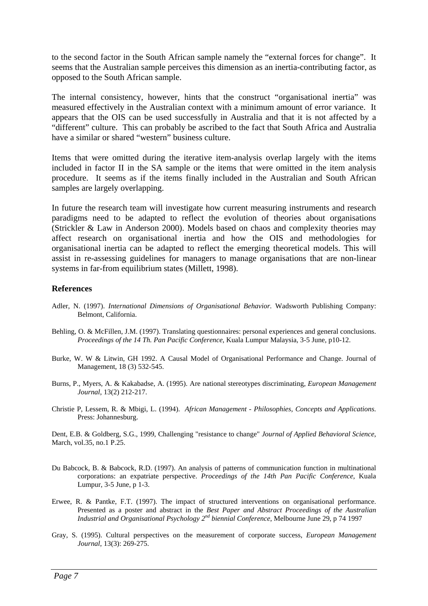to the second factor in the South African sample namely the "external forces for change". It seems that the Australian sample perceives this dimension as an inertia-contributing factor, as opposed to the South African sample.

The internal consistency, however, hints that the construct "organisational inertia" was measured effectively in the Australian context with a minimum amount of error variance. It appears that the OIS can be used successfully in Australia and that it is not affected by a "different" culture. This can probably be ascribed to the fact that South Africa and Australia have a similar or shared "western" business culture.

Items that were omitted during the iterative item-analysis overlap largely with the items included in factor II in the SA sample or the items that were omitted in the item analysis procedure. It seems as if the items finally included in the Australian and South African samples are largely overlapping.

In future the research team will investigate how current measuring instruments and research paradigms need to be adapted to reflect the evolution of theories about organisations (Strickler & Law in Anderson 2000). Models based on chaos and complexity theories may affect research on organisational inertia and how the OIS and methodologies for organisational inertia can be adapted to reflect the emerging theoretical models. This will assist in re-assessing guidelines for managers to manage organisations that are non-linear systems in far-from equilibrium states (Millett, 1998).

#### **References**

- Adler, N. (1997). *International Dimensions of Organisational Behavior.* Wadsworth Publishing Company: Belmont, California.
- Behling, O. & McFillen, J.M. (1997). Translating questionnaires: personal experiences and general conclusions. *Proceedings of the 14 Th. Pan Pacific Conference*, Kuala Lumpur Malaysia, 3-5 June, p10-12.
- Burke, W. W & Litwin, GH 1992. A Causal Model of Organisational Performance and Change. Journal of Management, 18 (3) 532-545.
- Burns, P., Myers, A. & Kakabadse, A. (1995). Are national stereotypes discriminating, *European Management Journal*, 13(2) 212-217.
- Christie P, Lessem, R. & Mbigi, L. (1994). *African Management Philosophies, Concepts and Applications.*  Press: Johannesburg.

Dent, E.B. & Goldberg, S.G., 1999, Challenging "resistance to change" *Journal of Applied Behavioral Science*, March, vol.35, no.1 P.25.

- Du Babcock, B. & Babcock, R.D. (1997). An analysis of patterns of communication function in multinational corporations: an expatriate perspective. *Proceedings of the 14th Pan Pacific Conference*, Kuala Lumpur, 3-5 June, p 1-3.
- Erwee, R. & Pantke, F.T. (1997). The impact of structured interventions on organisational performance. Presented as a poster and abstract in the *Best Paper and Abstract Proceedings of the Australian Industrial and Organisational Psychology 2nd biennial Conference*, Melbourne June 29, p 74 1997
- Gray, S. (1995). Cultural perspectives on the measurement of corporate success, *European Management Journal*, 13(3): 269-275.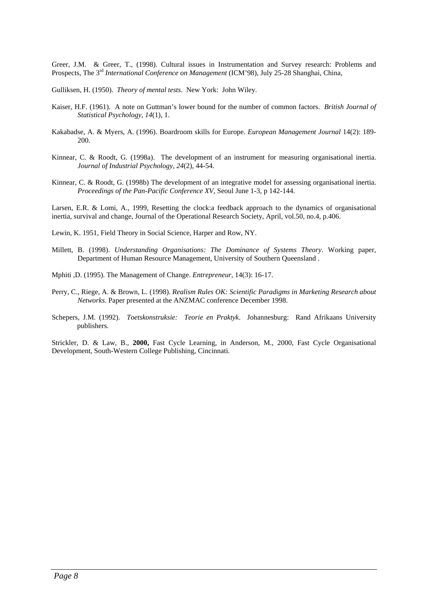Greer, J.M. & Greer, T., (1998). Cultural issues in Instrumentation and Survey research: Problems and Prospects, The 3rd *International Conference on Management* (ICM'98), July 25-28 Shanghai, China,

Gulliksen, H. (1950). *Theory of mental tests*. New York: John Wiley.

- Kaiser, H.F. (1961). A note on Guttman's lower bound for the number of common factors. *British Journal of Statistical Psychology, 14*(1), 1.
- Kakabadse, A. & Myers, A. (1996). Boardroom skills for Europe. *European Management Journal* 14(2): 189- 200.
- Kinnear, C. & Roodt, G. (1998a). The development of an instrument for measuring organisational inertia. *Journal of Industrial Psychology, 24*(2), 44-54.
- Kinnear, C. & Roodt, G. (1998b) The development of an integrative model for assessing organisational inertia. *Proceedings of the Pan-Pacific Conference XV*, Seoul June 1-3, p 142-144.

Larsen, E.R. & Lomi, A., 1999, Resetting the clock:a feedback approach to the dynamics of organisational inertia, survival and change, Journal of the Operational Research Society, April, vol.50, no.4, p.406.

Lewin, K. 1951, Field Theory in Social Science, Harper and Row, NY.

Millett, B. (1998). *Understanding Organisations: The Dominance of Systems Theory*. Working paper, Department of Human Resource Management, University of Southern Queensland .

Mphiti ,D. (1995). The Management of Change. *Entrepreneur,* 14(3): 16-17.

- Perry, C., Riege, A. & Brown, L. (1998). *Realism Rules OK: Scientific Paradigms in Marketing Research about Networks*. Paper presented at the ANZMAC conference December 1998.
- Schepers, J.M. (1992). *Toetskonstruksie: Teorie en Praktyk*. Johannesburg: Rand Afrikaans University publishers.

Strickler, D. & Law, B., **2000,** Fast Cycle Learning, in Anderson, M., 2000, Fast Cycle Organisational Development, South-Western College Publishing, Cincinnati.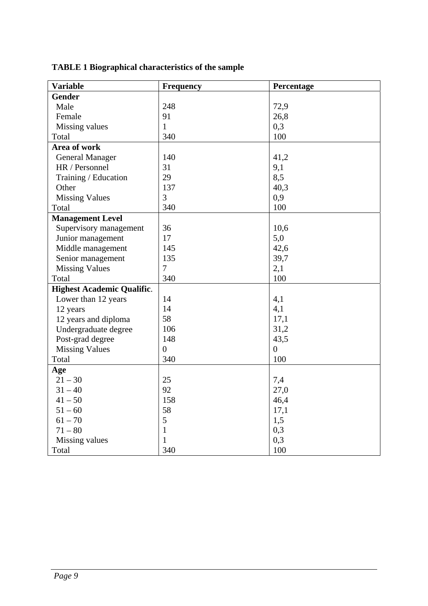| <b>Variable</b>                   | <b>Frequency</b> | Percentage     |
|-----------------------------------|------------------|----------------|
| <b>Gender</b>                     |                  |                |
| Male                              | 248              | 72,9           |
| Female                            | 91               | 26,8           |
| Missing values                    | $\mathbf{1}$     | 0,3            |
| Total                             | 340              | 100            |
| Area of work                      |                  |                |
| <b>General Manager</b>            | 140              | 41,2           |
| HR / Personnel                    | 31               | 9,1            |
| Training / Education              | 29               | 8,5            |
| Other                             | 137              | 40,3           |
| <b>Missing Values</b>             | 3                | 0,9            |
| Total                             | 340              | 100            |
| <b>Management Level</b>           |                  |                |
| Supervisory management            | 36               | 10,6           |
| Junior management                 | 17               | 5,0            |
| Middle management                 | 145              | 42,6           |
| Senior management                 | 135              | 39,7           |
| <b>Missing Values</b>             | $\overline{7}$   | 2,1            |
| Total                             | 340              | 100            |
| <b>Highest Academic Qualific.</b> |                  |                |
| Lower than 12 years               | 14               | 4,1            |
| 12 years                          | 14               | 4,1            |
| 12 years and diploma              | 58               | 17,1           |
| Undergraduate degree              | 106              | 31,2           |
| Post-grad degree                  | 148              | 43,5           |
| <b>Missing Values</b>             | $\overline{0}$   | $\overline{0}$ |
| Total                             | 340              | 100            |
| Age                               |                  |                |
| $21 - 30$                         | 25               | 7,4            |
| $31 - 40$                         | 92               | 27,0           |
| $41 - 50$                         | 158              | 46,4           |
| $51 - 60$                         | 58               | 17,1           |
| $61 - 70$                         | 5                | 1,5            |
| $71 - 80$                         | $\mathbf{1}$     | 0,3            |
| Missing values                    | $\mathbf{1}$     | 0,3            |
| Total                             | 340              | 100            |

# **TABLE 1 Biographical characteristics of the sample**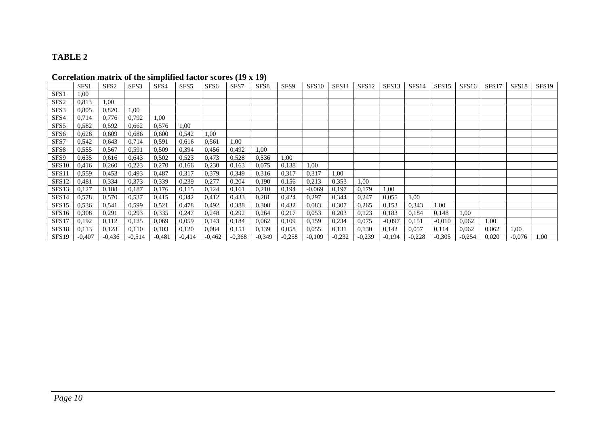#### **TABLE 2**

# **Correlation matrix of the simplified factor scores (19 x 19)**

|                   | SFS <sub>1</sub> | SFS <sub>2</sub> | SFS3     | SFS4     | SFS <sub>5</sub> | SFS <sub>6</sub> | SFS7     | SFS <sub>8</sub> | SFS <sub>9</sub> | SFS <sub>10</sub> | SFS11    | SFS <sub>12</sub> | SFS13    | SFS <sub>14</sub> | SFS <sub>15</sub> | SFS16    | SFS17 | SFS <sub>18</sub> | SFS19 |
|-------------------|------------------|------------------|----------|----------|------------------|------------------|----------|------------------|------------------|-------------------|----------|-------------------|----------|-------------------|-------------------|----------|-------|-------------------|-------|
| SFS <sub>1</sub>  | 1,00             |                  |          |          |                  |                  |          |                  |                  |                   |          |                   |          |                   |                   |          |       |                   |       |
| SFS <sub>2</sub>  | 0.813            | 1,00             |          |          |                  |                  |          |                  |                  |                   |          |                   |          |                   |                   |          |       |                   |       |
| SFS3              | 0,805            | 0,820            | 1,00     |          |                  |                  |          |                  |                  |                   |          |                   |          |                   |                   |          |       |                   |       |
| SFS4              | 0,714            | 0,776            | 0,792    | 1,00     |                  |                  |          |                  |                  |                   |          |                   |          |                   |                   |          |       |                   |       |
| SFS5              | 0,582            | 0,592            | 0,662    | 0,576    | 1,00             |                  |          |                  |                  |                   |          |                   |          |                   |                   |          |       |                   |       |
| SFS <sub>6</sub>  | 0,628            | 0,609            | 0,686    | 0,600    | 0,542            | 1,00             |          |                  |                  |                   |          |                   |          |                   |                   |          |       |                   |       |
| SFS7              | 0,542            | 0,643            | 0,714    | 0,591    | 0,616            | 0,561            | 1,00     |                  |                  |                   |          |                   |          |                   |                   |          |       |                   |       |
| SFS8              | 0,555            | 0,567            | 0,591    | 0,509    | 0,394            | 0,456            | 0,492    | 1,00             |                  |                   |          |                   |          |                   |                   |          |       |                   |       |
| SFS9              | 0,635            | 0,616            | 0,643    | 0,502    | 0,523            | 0,473            | 0,528    | 0,536            | 1,00             |                   |          |                   |          |                   |                   |          |       |                   |       |
| <b>SFS10</b>      | 0,416            | 0,260            | 0,223    | 0,270    | 0,166            | 0,230            | 0,163    | 0,075            | 0,138            | 1,00              |          |                   |          |                   |                   |          |       |                   |       |
| SFS11             | 0,559            | 0,453            | 0,493    | 0,487    | 0,317            | 0,379            | 0,349    | 0,316            | 0,317            | 0,317             | 1,00     |                   |          |                   |                   |          |       |                   |       |
| SFS12             | 0,481            | 0,334            | 0,373    | 0,339    | 0,239            | 0,277            | 0,204    | 0,190            | 0,156            | 0,213             | 0,353    | 1,00              |          |                   |                   |          |       |                   |       |
| SFS13             | 0,127            | 0,188            | 0,187    | 0,176    | 0,115            | 0,124            | 0,161    | 0,210            | 0,194            | $-0,069$          | 0,197    | 0,179             | 1,00     |                   |                   |          |       |                   |       |
| SFS <sub>14</sub> | 0,578            | 0,570            | 0,537    | 0,415    | 0,342            | 0,412            | 0,433    | 0,281            | 0,424            | 0,297             | 0,344    | 0,247             | 0,055    | 1,00              |                   |          |       |                   |       |
| SFS15             | 0,536            | 0,541            | 0,599    | 0,521    | 0,478            | 0,492            | 0,388    | 0,308            | 0,432            | 0.083             | 0,307    | 0,265             | 0,153    | 0,343             | 1,00              |          |       |                   |       |
| SFS16             | 0,308            | 0,291            | 0,293    | 0,335    | 0,247            | 0,248            | 0,292    | 0,264            | 0,217            | 0,053             | 0,203    | 0,123             | 0,183    | 0,184             | 0,148             | 1,00     |       |                   |       |
| SFS17             | 0,192            | 0,112            | 0,125    | 0,069    | 0,059            | 0,143            | 0,184    | 0,062            | 0,109            | 0,159             | 0,234    | 0,075             | $-0,097$ | 0,151             | $-0,010$          | 0,062    | 1,00  |                   |       |
| SFS18             | 0,113            | 0,128            | 0,110    | 0,103    | 0,120            | 0,084            | 0,151    | 0,139            | 0,058            | 0,055             | 0,131    | 0,130             | 0,142    | 0,057             | 0,114             | 0,062    | 0,062 | 1,00              |       |
| SFS <sub>19</sub> | $-0.407$         | $-0.436$         | $-0.514$ | $-0.481$ | $-0.414$         | $-0,462$         | $-0.368$ | $-0.349$         | $-0,258$         | $-0,109$          | $-0,232$ | $-0,239$          | $-0.194$ | $-0,228$          | $-0.305$          | $-0,254$ | 0,020 | $-0,076$          | 1,00  |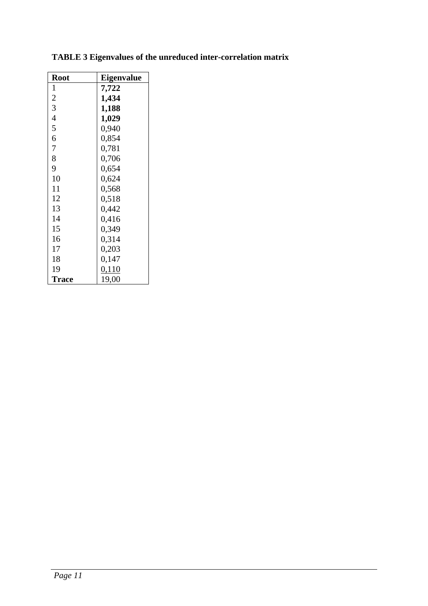| <b>Root</b>    | <b>Eigenvalue</b> |
|----------------|-------------------|
| 1              | 7,722             |
| $\overline{c}$ | 1,434             |
| $\overline{3}$ | 1,188             |
| $\overline{4}$ | 1,029             |
| 5              | 0,940             |
| 6              | 0,854             |
| 7              | 0,781             |
| 8              | 0,706             |
| 9              | 0,654             |
| 10             | 0,624             |
| 11             | 0,568             |
| 12             | 0,518             |
| 13             | 0,442             |
| 14             | 0,416             |
| 15             | 0,349             |
| 16             | 0,314             |
| 17             | 0,203             |
| 18             | 0,147             |
| 19             | 0,110             |
| <b>Trace</b>   | 19,00             |

|  |  |  | <b>TABLE 3 Eigenvalues of the unreduced inter-correlation matrix</b> |  |
|--|--|--|----------------------------------------------------------------------|--|
|  |  |  |                                                                      |  |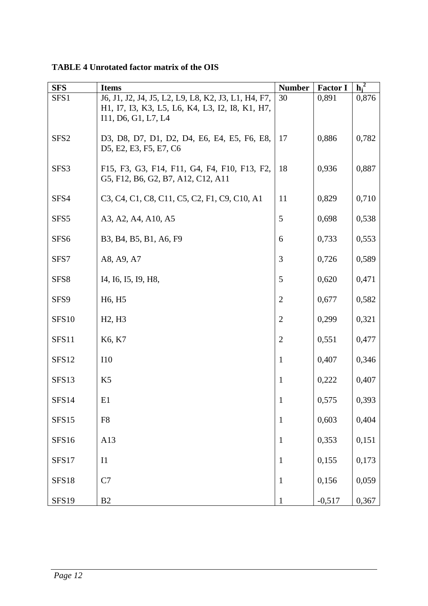| <b>SFS</b>        | <b>Items</b>                                                                                                                                                                               | <b>Number</b>  | <b>Factor I</b> | $h_i^2$ |
|-------------------|--------------------------------------------------------------------------------------------------------------------------------------------------------------------------------------------|----------------|-----------------|---------|
| SFS1              | J6, J1, J2, J4, J5, L2, L9, L8, K2, J3, L1, H4, F7,<br>H1, I7, I3, K3, L5, L6, K4, L3, I2, I8, K1, H7,<br>I11, D6, G1, L7, L4                                                              | 30             | 0,891           | 0,876   |
| SFS <sub>2</sub>  | D3, D8, D7, D1, D2, D4, E6, E4, E5, F6, E8,<br>D5, E2, E3, F5, E7, C6                                                                                                                      | 17             | 0,886           | 0,782   |
| SFS3              | F15, F3, G3, F14, F11, G4, F4, F10, F13, F2,<br>G5, F12, B6, G2, B7, A12, C12, A11                                                                                                         | 18             | 0,936           | 0,887   |
| SFS4              | C <sub>3</sub> , C <sub>4</sub> , C <sub>1</sub> , C <sub>8</sub> , C <sub>11</sub> , C <sub>5</sub> , C <sub>2</sub> , F <sub>1</sub> , C <sub>9</sub> , C <sub>10</sub> , A <sub>1</sub> | 11             | 0,829           | 0,710   |
| SFS <sub>5</sub>  | A3, A2, A4, A10, A5                                                                                                                                                                        | $\mathfrak{S}$ | 0,698           | 0,538   |
| SFS <sub>6</sub>  | B3, B4, B5, B1, A6, F9                                                                                                                                                                     | 6              | 0,733           | 0,553   |
| SFS7              | A8, A9, A7                                                                                                                                                                                 | 3              | 0,726           | 0,589   |
| SFS8              | I4, I6, I5, I9, H8,                                                                                                                                                                        | 5              | 0,620           | 0,471   |
| SFS9              | H <sub>6</sub> , H <sub>5</sub>                                                                                                                                                            | $\mathfrak{2}$ | 0,677           | 0,582   |
| SFS <sub>10</sub> | H <sub>2</sub> , H <sub>3</sub>                                                                                                                                                            | $\overline{2}$ | 0,299           | 0,321   |
| SFS11             | K6, K7                                                                                                                                                                                     | $\overline{2}$ | 0,551           | 0,477   |
| SFS12             | <b>I10</b>                                                                                                                                                                                 | $\mathbf{1}$   | 0,407           | 0,346   |
| SFS13             | K <sub>5</sub>                                                                                                                                                                             | 1              | 0,222           | 0,407   |
| SFS14             | E1                                                                                                                                                                                         | 1              | 0,575           | 0,393   |
| SFS15             | F <sub>8</sub>                                                                                                                                                                             | $\mathbf{1}$   | 0,603           | 0,404   |
| <b>SFS16</b>      | A13                                                                                                                                                                                        | $\mathbf{1}$   | 0,353           | 0,151   |
| SFS17             | I1                                                                                                                                                                                         | $\mathbf{1}$   | 0,155           | 0,173   |
| SFS18             | C7                                                                                                                                                                                         | $\mathbf{1}$   | 0,156           | 0,059   |
| SFS19             | B2                                                                                                                                                                                         | $\mathbf{1}$   | $-0,517$        | 0,367   |

**TABLE 4 Unrotated factor matrix of the OIS**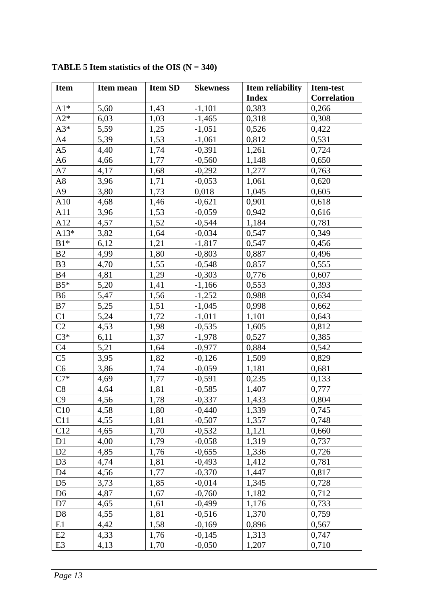| <b>Item</b>    | Item mean | <b>Item SD</b> | <b>Skewness</b> | Item reliability | Item-test          |  |
|----------------|-----------|----------------|-----------------|------------------|--------------------|--|
|                |           |                |                 | <b>Index</b>     | <b>Correlation</b> |  |
| $A1*$          | 5,60      | 1,43           | $-1,101$        | 0,383            | 0,266              |  |
| $A2*$          | 6,03      | 1,03           | $-1,465$        | 0,318            | 0,308              |  |
| $A3*$          | 5,59      | 1,25           | $-1,051$        | 0,526            | 0,422              |  |
| A <sub>4</sub> | 5,39      | 1,53           | $-1,061$        | 0,812            | 0,531              |  |
| A <sub>5</sub> | 4,40      | 1,74           | $-0,391$        | 1,261            | 0,724              |  |
| A <sub>6</sub> | 4,66      | 1,77           | $-0,560$        | 1,148            | 0,650              |  |
| A7             | 4,17      | 1,68           | $-0,292$        | 1,277            | 0,763              |  |
| A8             | 3,96      | 1,71           | $-0,053$        | 1,061            | 0,620              |  |
| A <sub>9</sub> | 3,80      | 1,73           | 0,018           | 1,045            | 0,605              |  |
| A10            | 4,68      | 1,46           | $-0,621$        | 0,901            | 0,618              |  |
| A11            | 3,96      | 1,53           | $-0,059$        | 0,942            | 0,616              |  |
| A12            | 4,57      | 1,52           | $-0,544$        | 1,184            | 0,781              |  |
| $A13*$         | 3,82      | 1,64           | $-0,034$        | 0,547            | 0,349              |  |
| $B1*$          | 6,12      | 1,21           | $-1,817$        | 0,547            | 0,456              |  |
| B <sub>2</sub> | 4,99      | 1,80           | $-0,803$        | 0,887            | 0,496              |  |
| B <sub>3</sub> | 4,70      | 1,55           | $-0,548$        | 0,857            | 0,555              |  |
| <b>B4</b>      | 4,81      | 1,29           | $-0,303$        | 0,776            | 0,607              |  |
| $B5*$          | 5,20      | 1,41           | $-1,166$        | 0,553            | 0,393              |  |
| B <sub>6</sub> | 5,47      | 1,56           | $-1,252$        | 0,988            | 0,634              |  |
| B7             | 5,25      | 1,51           | $-1,045$        | 0,998            | 0,662              |  |
| C1             | 5,24      | 1,72           | $-1,011$        | 1,101            | 0,643              |  |
| C <sub>2</sub> | 4,53      | 1,98           | $-0,535$        | 1,605            | 0,812              |  |
| $C3*$          | 6,11      | 1,37           | $-1,978$        | 0,527            | 0,385              |  |
| C <sub>4</sub> | 5,21      | 1,64           | $-0,977$        | 0,884            | 0,542              |  |
| C <sub>5</sub> | 3,95      | 1,82           | $-0,126$        | 1,509            | 0,829              |  |
| C6             | 3,86      | 1,74           | $-0,059$        | 1,181            | 0,681              |  |
| $C7*$          | 4,69      | 1,77           | $-0,591$        | 0,235            | 0,133              |  |
| C8             | 4,64      | 1,81           | $-0,585$        | 1,407            | 0,777              |  |
| C9             | 4,56      | 1,78           | $-0,337$        | 1,433            | 0,804              |  |
| C10            | 4,58      | 1,80           | $-0,440$        | 1,339            | 0,745              |  |
| C11            | 4,55      | 1,81           | $-0,507$        | 1,357            | 0,748              |  |
| C12            | 4,65      | 1,70           | $-0,532$        | 1,121            | 0,660              |  |
| D <sub>1</sub> | 4,00      | 1,79           | $-0,058$        | 1,319            | 0,737              |  |
| D2             | 4,85      | 1,76           | $-0,655$        | 1,336            | 0,726              |  |
| D <sub>3</sub> | 4,74      | 1,81           | $-0,493$        | 1,412            | 0,781              |  |
| D <sub>4</sub> | 4,56      | 1,77           | $-0,370$        | 1,447            | 0,817              |  |
| D <sub>5</sub> | 3,73      | 1,85           | $-0,014$        | 1,345            | 0,728              |  |
| D <sub>6</sub> | 4,87      | 1,67           | $-0,760$        | 1,182            | 0,712              |  |
| D7             | 4,65      | 1,61           | $-0,499$        | 1,176            | 0,733              |  |
| D <sub>8</sub> | 4,55      | 1,81           | $-0,516$        | 1,370            | 0,759              |  |
| E1             | 4,42      | 1,58           | $-0,169$        | 0,896            | 0,567              |  |
| E2             | 4,33      | 1,76           | $-0,145$        | 1,313            | 0,747              |  |
| E <sub>3</sub> | 4,13      | 1,70           | $-0,050$        | 1,207            | 0,710              |  |

**TABLE 5 Item statistics of the OIS (N = 340)**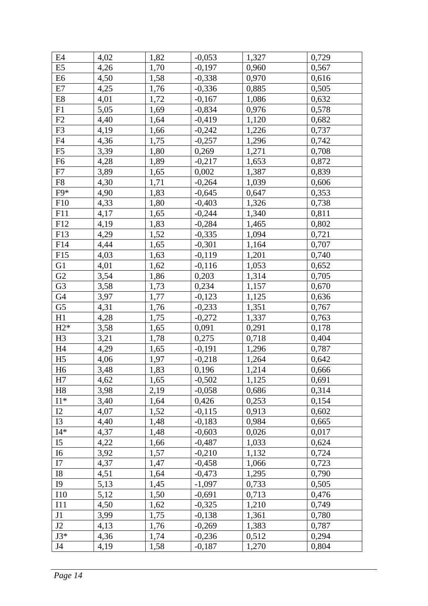| E <sub>4</sub>  | 4,02 | 1,82 | $-0,053$ | 1,327 | 0,729 |
|-----------------|------|------|----------|-------|-------|
| E <sub>5</sub>  | 4,26 | 1,70 | $-0,197$ | 0,960 | 0,567 |
| E <sub>6</sub>  | 4,50 | 1,58 | $-0,338$ | 0,970 | 0,616 |
| E7              | 4,25 | 1,76 | $-0,336$ | 0,885 | 0,505 |
| $\rm E8$        | 4,01 | 1,72 | $-0,167$ | 1,086 | 0,632 |
| F1              | 5,05 | 1,69 | $-0,834$ | 0,976 | 0,578 |
| F2              | 4,40 | 1,64 | $-0,419$ | 1,120 | 0,682 |
| F <sub>3</sub>  | 4,19 | 1,66 | $-0,242$ | 1,226 | 0,737 |
| F4              | 4,36 | 1,75 | $-0,257$ | 1,296 | 0,742 |
| F <sub>5</sub>  | 3,39 | 1,80 | 0,269    | 1,271 | 0,708 |
| F <sub>6</sub>  | 4,28 | 1,89 | $-0,217$ | 1,653 | 0,872 |
| F7              | 3,89 | 1,65 | 0,002    | 1,387 | 0,839 |
| F <sub>8</sub>  | 4,30 | 1,71 | $-0,264$ | 1,039 | 0,606 |
| F9*             | 4,90 | 1,83 | $-0,645$ | 0,647 | 0,353 |
| F10             | 4,33 | 1,80 | $-0,403$ | 1,326 | 0,738 |
| F11             | 4,17 | 1,65 | $-0,244$ | 1,340 | 0,811 |
| F12             | 4,19 | 1,83 | $-0,284$ | 1,465 | 0,802 |
| F13             | 4,29 | 1,52 | $-0,335$ | 1,094 | 0,721 |
| F14             | 4,44 | 1,65 | $-0,301$ | 1,164 | 0,707 |
| F15             | 4,03 | 1,63 | $-0,119$ | 1,201 | 0,740 |
| G <sub>1</sub>  | 4,01 | 1,62 | $-0,116$ | 1,053 | 0,652 |
| G2              | 3,54 | 1,86 | 0,203    | 1,314 | 0,705 |
| G <sub>3</sub>  | 3,58 | 1,73 | 0,234    | 1,157 | 0,670 |
| G4              | 3,97 | 1,77 | $-0,123$ | 1,125 | 0,636 |
| G5              | 4,31 | 1,76 | $-0,233$ | 1,351 | 0,767 |
| H1              | 4,28 | 1,75 | $-0,272$ | 1,337 | 0,763 |
| $H2*$           | 3,58 | 1,65 | 0,091    | 0,291 | 0,178 |
| H <sub>3</sub>  | 3,21 | 1,78 | 0,275    | 0,718 | 0,404 |
| H4              | 4,29 | 1,65 | $-0,191$ | 1,296 | 0,787 |
| H <sub>5</sub>  | 4,06 | 1,97 | $-0,218$ | 1,264 | 0,642 |
| H <sub>6</sub>  | 3,48 | 1,83 | 0,196    | 1,214 | 0,666 |
| H7              | 4,62 | 1,65 | $-0,502$ | 1,125 | 0,691 |
| H <sub>8</sub>  | 3,98 | 2,19 | $-0,058$ | 0,686 | 0,314 |
| $\mathrm{I}1^*$ | 3,40 | 1,64 | 0,426    | 0,253 | 0,154 |
| 12              | 4,07 | 1,52 | $-0,115$ | 0,913 | 0,602 |
| I3              | 4,40 | 1,48 | $-0,183$ | 0,984 | 0,665 |
| $I4*$           | 4,37 | 1,48 | $-0,603$ | 0,026 | 0,017 |
| I <sub>5</sub>  | 4,22 | 1,66 | $-0,487$ | 1,033 | 0,624 |
| I6              | 3,92 | 1,57 | $-0,210$ | 1,132 | 0,724 |
| I7              | 4,37 | 1,47 | $-0,458$ | 1,066 | 0,723 |
| I8              | 4,51 | 1,64 | $-0,473$ | 1,295 | 0,790 |
| <b>I9</b>       | 5,13 | 1,45 | $-1,097$ | 0,733 | 0,505 |
| <b>I10</b>      | 5,12 | 1,50 | $-0,691$ | 0,713 | 0,476 |
| I11             | 4,50 | 1,62 | $-0,325$ | 1,210 | 0,749 |
| J1              | 3,99 | 1,75 | $-0,138$ | 1,361 | 0,780 |
| J2              | 4,13 | 1,76 | $-0,269$ | 1,383 | 0,787 |
| $J3*$           | 4,36 | 1,74 | $-0,236$ | 0,512 | 0,294 |
| J4              | 4,19 | 1,58 | $-0,187$ | 1,270 | 0,804 |